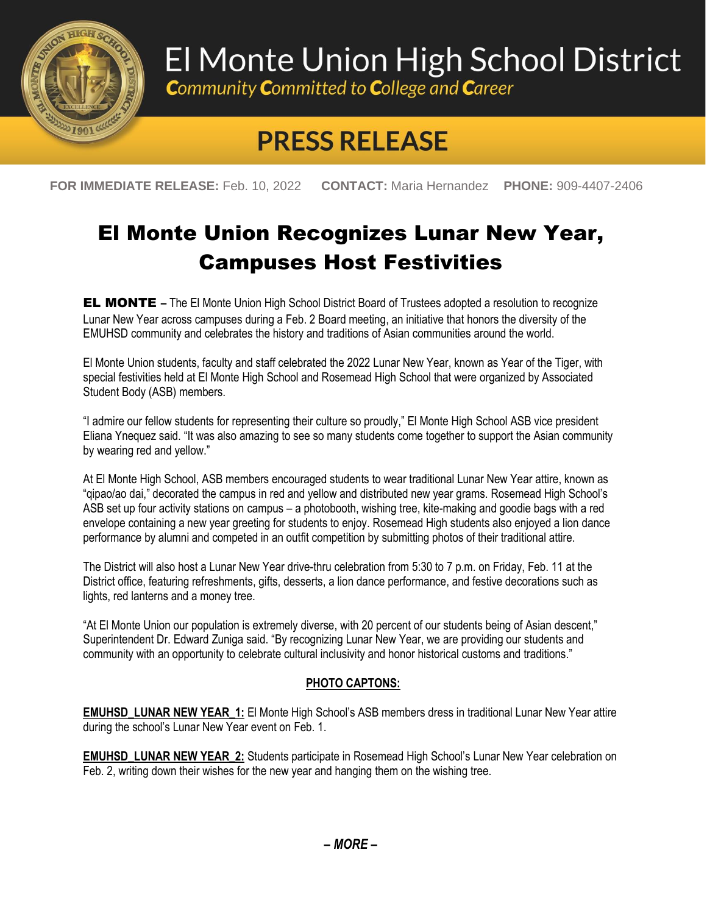

## El Monte Union High School District

**Community Committed to College and Career** 

## **PRESS RELEASE**

**FOR IMMEDIATE RELEASE:** Feb. 10, 2022 **CONTACT:** Maria Hernandez **PHONE:** 909-4407-2406

## El Monte Union Recognizes Lunar New Year, Campuses Host Festivities

**EL MONTE** – The El Monte Union High School District Board of Trustees adopted a resolution to recognize Lunar New Year across campuses during a Feb. 2 Board meeting, an initiative that honors the diversity of the EMUHSD community and celebrates the history and traditions of Asian communities around the world.

El Monte Union students, faculty and staff celebrated the 2022 Lunar New Year, known as Year of the Tiger, with special festivities held at El Monte High School and Rosemead High School that were organized by Associated Student Body (ASB) members.

"I admire our fellow students for representing their culture so proudly," El Monte High School ASB vice president Eliana Ynequez said. "It was also amazing to see so many students come together to support the Asian community by wearing red and yellow."

At El Monte High School, ASB members encouraged students to wear traditional Lunar New Year attire, known as "qipao/ao dai," decorated the campus in red and yellow and distributed new year grams. Rosemead High School's ASB set up four activity stations on campus – a photobooth, wishing tree, kite-making and goodie bags with a red envelope containing a new year greeting for students to enjoy. Rosemead High students also enjoyed a lion dance performance by alumni and competed in an outfit competition by submitting photos of their traditional attire.

The District will also host a Lunar New Year drive-thru celebration from 5:30 to 7 p.m. on Friday, Feb. 11 at the District office, featuring refreshments, gifts, desserts, a lion dance performance, and festive decorations such as lights, red lanterns and a money tree.

"At El Monte Union our population is extremely diverse, with 20 percent of our students being of Asian descent," Superintendent Dr. Edward Zuniga said. "By recognizing Lunar New Year, we are providing our students and community with an opportunity to celebrate cultural inclusivity and honor historical customs and traditions."

## **PHOTO CAPTONS:**

**EMUHSD\_LUNAR NEW YEAR\_1:** El Monte High School's ASB members dress in traditional Lunar New Year attire during the school's Lunar New Year event on Feb. 1.

**EMUHSD\_LUNAR NEW YEAR\_2:** Students participate in Rosemead High School's Lunar New Year celebration on Feb. 2, writing down their wishes for the new year and hanging them on the wishing tree.